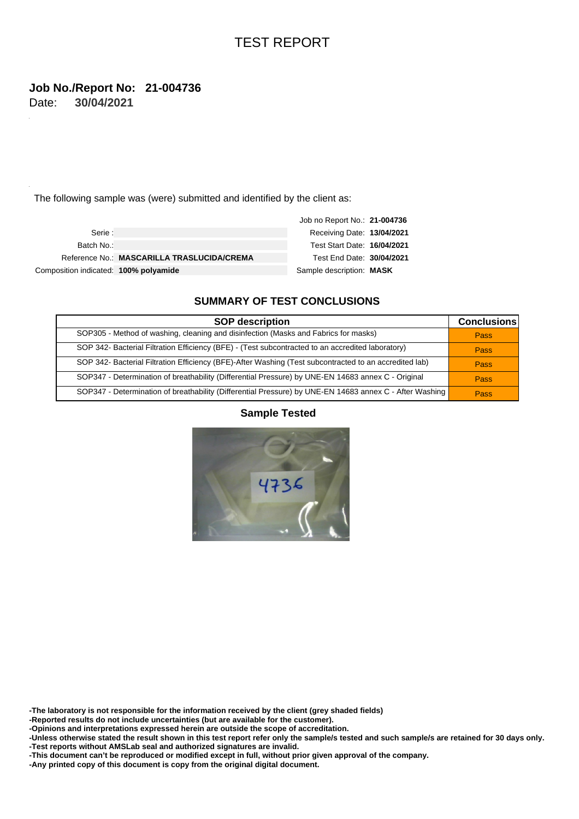#### **30/04/2021 Job No./Report No: 21-004736** Date:

The following sample was (were) submitted and identified by the client as:

|                                       |                                            | Job no Report No.: 21-004736 |  |
|---------------------------------------|--------------------------------------------|------------------------------|--|
| Serie :                               |                                            | Receiving Date: 13/04/2021   |  |
| Batch No.:                            |                                            | Test Start Date: 16/04/2021  |  |
|                                       | Reference No.: MASCARILLA TRASLUCIDA/CREMA | Test End Date: 30/04/2021    |  |
| Composition indicated: 100% polyamide |                                            | Sample description: MASK     |  |

### **SUMMARY OF TEST CONCLUSIONS**

| <b>SOP description</b>                                                                                  | <b>Conclusions</b> |
|---------------------------------------------------------------------------------------------------------|--------------------|
| SOP305 - Method of washing, cleaning and disinfection (Masks and Fabrics for masks)                     | Pass               |
| SOP 342- Bacterial Filtration Efficiency (BFE) - (Test subcontracted to an accredited laboratory)       | Pass               |
| SOP 342- Bacterial Filtration Efficiency (BFE)-After Washing (Test subcontracted to an accredited lab)  | Pass               |
| SOP347 - Determination of breathability (Differential Pressure) by UNE-EN 14683 annex C - Original      | <b>Pass</b>        |
| SOP347 - Determination of breathability (Differential Pressure) by UNE-EN 14683 annex C - After Washing | Pass               |

### **Sample Tested**



**-The laboratory is not responsible for the information received by the client (grey shaded fields)**

**-Reported results do not include uncertainties (but are available for the customer).**

**-Opinions and interpretations expressed herein are outside the scope of accreditation.**

**-Unless otherwise stated the result shown in this test report refer only the sample/s tested and such sample/s are retained for 30 days only. -Test reports without AMSLab seal and authorized signatures are invalid.**

**-This document can't be reproduced or modified except in full, without prior given approval of the company.**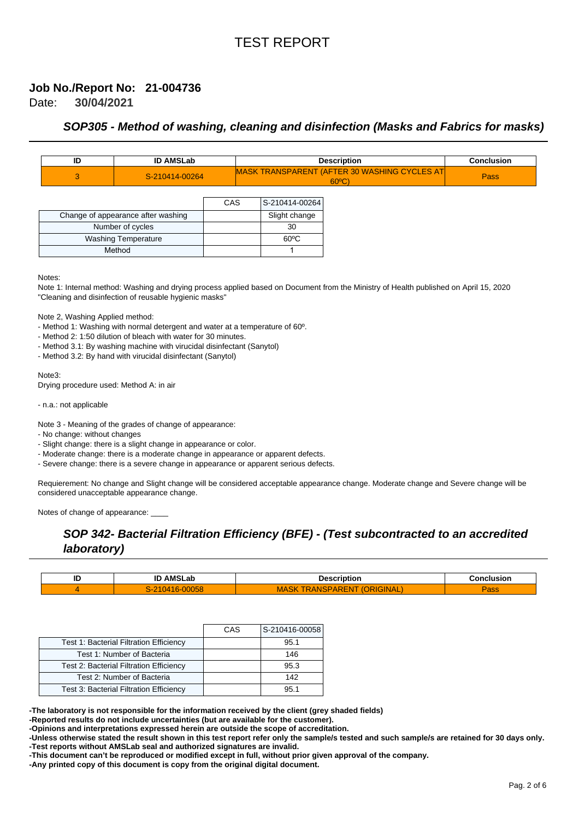#### **30/04/2021 Job No./Report No: 21-004736** Date:

### **SOP305 - Method of washing, cleaning and disinfection (Masks and Fabrics for masks)**

| ID | <b>ID AMSLab</b> | <b>Description</b>                                                    | <b>Conclusion</b> |
|----|------------------|-----------------------------------------------------------------------|-------------------|
|    | S-210414-00264   | <b>MASK TRANSPARENT (AFTER 30 WASHING CYCLES AT</b><br>$60^{\circ}$ C | <b>Pass</b>       |

|                                    | CAS | S-210414-00264 |
|------------------------------------|-----|----------------|
| Change of appearance after washing |     | Slight change  |
| Number of cycles                   |     | 30             |
| <b>Washing Temperature</b>         |     | 60°C           |
| Method                             |     |                |

Notes:

Note 1: Internal method: Washing and drying process applied based on Document from the Ministry of Health published on April 15, 2020 "Cleaning and disinfection of reusable hygienic masks"

Note 2, Washing Applied method:

- Method 1: Washing with normal detergent and water at a temperature of 60º.

- Method 2: 1:50 dilution of bleach with water for 30 minutes.

- Method 3.1: By washing machine with virucidal disinfectant (Sanytol)

- Method 3.2: By hand with virucidal disinfectant (Sanytol)

Note3:

Drying procedure used: Method A: in air

- n.a.: not applicable

Note 3 - Meaning of the grades of change of appearance:

- No change: without changes

- Slight change: there is a slight change in appearance or color.

- Moderate change: there is a moderate change in appearance or apparent defects.

- Severe change: there is a severe change in appearance or apparent serious defects.

Requierement: No change and Slight change will be considered acceptable appearance change. Moderate change and Severe change will be considered unacceptable appearance change.

Notes of change of appearance:

## **SOP 342- Bacterial Filtration Efficiency (BFE) - (Test subcontracted to an accredited laboratory)**

| שו | <b>AMSLab</b><br>ш. | Description | Conclusion |
|----|---------------------|-------------|------------|
|    | wac<br>ຼ            | NAL<br>MF   | ้สออ       |

|                                                | CAS | S-210416-00058 |
|------------------------------------------------|-----|----------------|
| <b>Test 1: Bacterial Filtration Efficiency</b> |     | 95.1           |
| Test 1: Number of Bacteria                     |     | 146            |
| Test 2: Bacterial Filtration Efficiency        |     | 95.3           |
| Test 2: Number of Bacteria                     |     | 142            |
| Test 3: Bacterial Filtration Efficiency        |     | 95.1           |

**-The laboratory is not responsible for the information received by the client (grey shaded fields)**

**-Reported results do not include uncertainties (but are available for the customer).**

**-Opinions and interpretations expressed herein are outside the scope of accreditation.**

**-Unless otherwise stated the result shown in this test report refer only the sample/s tested and such sample/s are retained for 30 days only. -Test reports without AMSLab seal and authorized signatures are invalid.**

**-This document can't be reproduced or modified except in full, without prior given approval of the company.**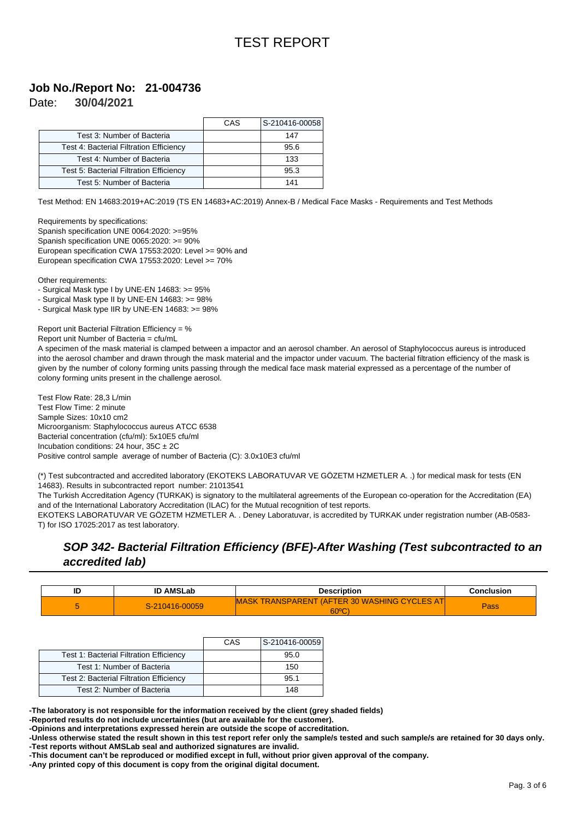#### **30/04/2021 Job No./Report No: 21-004736** Date:

|                                                | CAS | S-210416-00058 |
|------------------------------------------------|-----|----------------|
| Test 3: Number of Bacteria                     |     | 147            |
| <b>Test 4: Bacterial Filtration Efficiency</b> |     | 95.6           |
| Test 4: Number of Bacteria                     |     | 133            |
| Test 5: Bacterial Filtration Efficiency        |     | 95.3           |
| Test 5: Number of Bacteria                     |     | 141            |

Test Method: EN 14683:2019+AC:2019 (TS EN 14683+AC:2019) Annex-B / Medical Face Masks - Requirements and Test Methods

Requirements by specifications:

Spanish specification UNE 0064:2020: >=95% Spanish specification UNE 0065:2020: >= 90% European specification CWA 17553:2020: Level >= 90% and European specification CWA 17553:2020: Level >= 70%

Other requirements:

- Surgical Mask type I by UNE-EN 14683: >= 95%

- Surgical Mask type II by UNE-EN 14683: >= 98%

- Surgical Mask type IIR by UNE-EN 14683: >= 98%

Report unit Bacterial Filtration Efficiency = %

Report unit Number of Bacteria = cfu/mL

A specimen of the mask material is clamped between a impactor and an aerosol chamber. An aerosol of Staphylococcus aureus is introduced into the aerosol chamber and drawn through the mask material and the impactor under vacuum. The bacterial filtration efficiency of the mask is given by the number of colony forming units passing through the medical face mask material expressed as a percentage of the number of colony forming units present in the challenge aerosol.

Test Flow Rate: 28,3 L/min Test Flow Time: 2 minute Sample Sizes: 10x10 cm2 Microorganism: Staphylococcus aureus ATCC 6538 Bacterial concentration (cfu/ml): 5x10E5 cfu/ml Incubation conditions: 24 hour,  $35C \pm 2C$ Positive control sample average of number of Bacteria (C): 3.0x10E3 cfu/ml

(\*) Test subcontracted and accredited laboratory (EKOTEKS LABORATUVAR VE GÖZETM HZMETLER A. .) for medical mask for tests (EN 14683). Results in subcontracted report number: 21013541

The Turkish Accreditation Agency (TURKAK) is signatory to the multilateral agreements of the European co-operation for the Accreditation (EA) and of the International Laboratory Accreditation (ILAC) for the Mutual recognition of test reports.

EKOTEKS LABORATUVAR VE GÖZETM HZMETLER A. . Deney Laboratuvar, is accredited by TURKAK under registration number (AB-0583- T) for ISO 17025:2017 as test laboratory.

## **SOP 342- Bacterial Filtration Efficiency (BFE)-After Washing (Test subcontracted to an accredited lab)**

| ID | <b>ID AMSLab</b> | <b>Description</b>                                              | Conclusion |
|----|------------------|-----------------------------------------------------------------|------------|
|    | S-210416-00059   | MASK TRANSPARENT (AFTER 30 WASHING CYCLES AT<br>$60^{\circ}$ C) | Pass       |

|                                                | CAS | S-210416-00059 |
|------------------------------------------------|-----|----------------|
| Test 1: Bacterial Filtration Efficiency        |     | 95.0           |
| Test 1: Number of Bacteria                     |     | 150            |
| <b>Test 2: Bacterial Filtration Efficiency</b> |     | 95.1           |
| Test 2: Number of Bacteria                     |     | 148            |

**-The laboratory is not responsible for the information received by the client (grey shaded fields)**

**-Reported results do not include uncertainties (but are available for the customer).**

**-Opinions and interpretations expressed herein are outside the scope of accreditation.**

**-Unless otherwise stated the result shown in this test report refer only the sample/s tested and such sample/s are retained for 30 days only. -Test reports without AMSLab seal and authorized signatures are invalid.**

**-This document can't be reproduced or modified except in full, without prior given approval of the company.**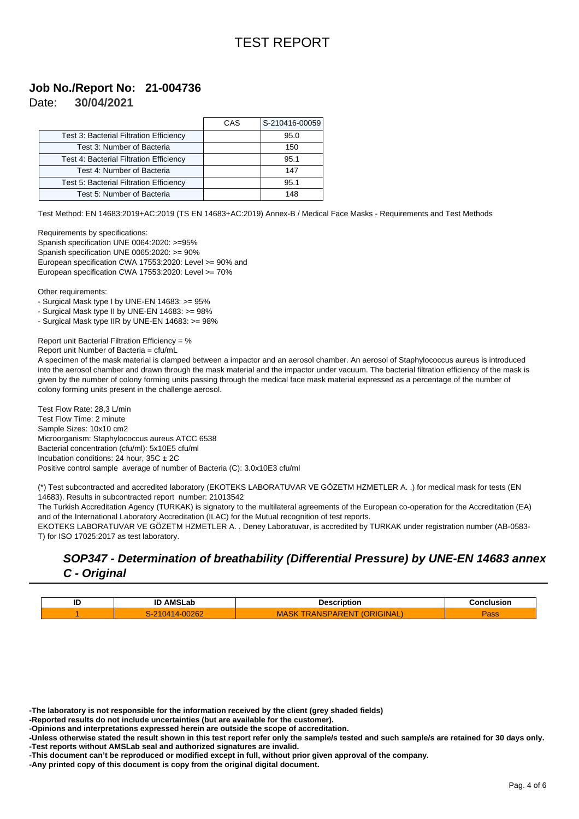#### **30/04/2021 Job No./Report No: 21-004736** Date:

|                                         | CAS | S-210416-00059 |
|-----------------------------------------|-----|----------------|
| Test 3: Bacterial Filtration Efficiency |     | 95.0           |
| Test 3: Number of Bacteria              |     | 150            |
| Test 4: Bacterial Filtration Efficiency |     | 95.1           |
| Test 4: Number of Bacteria              |     | 147            |
| Test 5: Bacterial Filtration Efficiency |     | 95.1           |
| Test 5: Number of Bacteria              |     | 148            |

Test Method: EN 14683:2019+AC:2019 (TS EN 14683+AC:2019) Annex-B / Medical Face Masks - Requirements and Test Methods

Requirements by specifications: Spanish specification UNE 0064:2020: >=95% Spanish specification UNE 0065:2020: >= 90% European specification CWA 17553:2020: Level >= 90% and European specification CWA 17553:2020: Level >= 70%

Other requirements:

- Surgical Mask type I by UNE-EN 14683: >= 95%

- Surgical Mask type II by UNE-EN 14683: >= 98%

- Surgical Mask type IIR by UNE-EN 14683: >= 98%

Report unit Bacterial Filtration Efficiency = %

Report unit Number of Bacteria = cfu/mL

A specimen of the mask material is clamped between a impactor and an aerosol chamber. An aerosol of Staphylococcus aureus is introduced into the aerosol chamber and drawn through the mask material and the impactor under vacuum. The bacterial filtration efficiency of the mask is given by the number of colony forming units passing through the medical face mask material expressed as a percentage of the number of colony forming units present in the challenge aerosol.

Test Flow Rate: 28,3 L/min Test Flow Time: 2 minute Sample Sizes: 10x10 cm2 Microorganism: Staphylococcus aureus ATCC 6538 Bacterial concentration (cfu/ml): 5x10E5 cfu/ml Incubation conditions: 24 hour,  $35C \pm 2C$ Positive control sample average of number of Bacteria (C): 3.0x10E3 cfu/ml

(\*) Test subcontracted and accredited laboratory (EKOTEKS LABORATUVAR VE GÖZETM HZMETLER A. .) for medical mask for tests (EN 14683). Results in subcontracted report number: 21013542

The Turkish Accreditation Agency (TURKAK) is signatory to the multilateral agreements of the European co-operation for the Accreditation (EA) and of the International Laboratory Accreditation (ILAC) for the Mutual recognition of test reports.

EKOTEKS LABORATUVAR VE GÖZETM HZMETLER A. . Deney Laboratuvar, is accredited by TURKAK under registration number (AB-0583- T) for ISO 17025:2017 as test laboratory.

### **SOP347 - Determination of breathability (Differential Pressure) by UNE-EN 14683 annex C - Original**

| ID | $\cdots$<br>IE<br>AM.<br>. .<br>-aı | --- | sior |
|----|-------------------------------------|-----|------|
|    | $\sim$                              | ∼   |      |

**-The laboratory is not responsible for the information received by the client (grey shaded fields)**

**-Reported results do not include uncertainties (but are available for the customer).**

**-Opinions and interpretations expressed herein are outside the scope of accreditation.**

**-Unless otherwise stated the result shown in this test report refer only the sample/s tested and such sample/s are retained for 30 days only. -Test reports without AMSLab seal and authorized signatures are invalid.**

**-This document can't be reproduced or modified except in full, without prior given approval of the company.**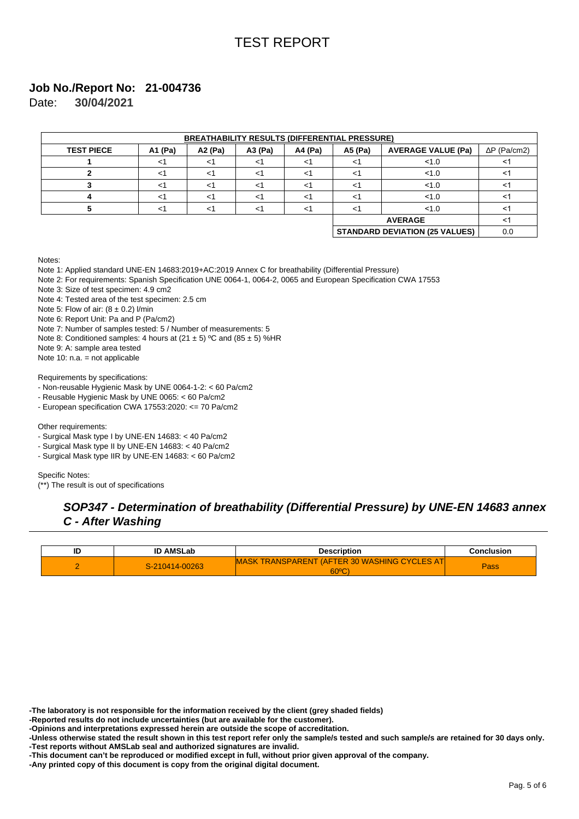# **Job No./Report No: 21-004736**

|                   | <b>BREATHABILITY RESULTS (DIFFERENTIAL PRESSURE)</b> |          |        |         |         |                                       |              |
|-------------------|------------------------------------------------------|----------|--------|---------|---------|---------------------------------------|--------------|
| <b>TEST PIECE</b> | A1 (Pa)                                              | A2 (Pa)  | A3(Pa) | A4 (Pa) | A5 (Pa) | <b>AVERAGE VALUE (Pa)</b>             | $P$ (Pa/cm2) |
|                   | <1                                                   | -1       | <1     | <1      | -1      | 1.0                                   |              |
|                   | $<$ 1                                                | -1       | <1     | <1      | <1      | 1.0                                   |              |
|                   | $<$ 1                                                | ^>       | ا>     | ا>      | $\lt'$  | 1.0                                   |              |
|                   | <1                                                   | $\leq$ 1 | ا>     | <1      | $\lt'$  | 1.0                                   |              |
| 5                 | <1                                                   | ~        | <1     | <1      | <1      | 1.0                                   | <1           |
|                   |                                                      |          |        |         |         | <b>AVERAGE</b>                        | ≺1           |
|                   |                                                      |          |        |         |         | <b>STANDARD DEVIATION (25 VALUES)</b> | 0.0          |

**30/04/2021** Date:

#### Notes:

Note 1: Applied standard UNE-EN 14683:2019+AC:2019 Annex C for breathability (Differential Pressure)

Note 2: For requirements: Spanish Specification UNE 0064-1, 0064-2, 0065 and European Specification CWA 17553

Note 3: Size of test specimen: 4.9 cm2

Note 4: Tested area of the test specimen: 2.5 cm

Note 5: Flow of air:  $(8 \pm 0.2)$  l/min

Note 6: Report Unit: Pa and P (Pa/cm2)

Note 7: Number of samples tested: 5 / Number of measurements: 5

Note 8: Conditioned samples: 4 hours at (21  $\pm$  5) °C and (85  $\pm$  5) %HR

Note 9: A: sample area tested

Note 10: n.a. = not applicable

Requirements by specifications:

- Non-reusable Hygienic Mask by UNE 0064-1-2: < 60 Pa/cm2

- Reusable Hygienic Mask by UNE 0065: < 60 Pa/cm2

- European specification CWA 17553:2020: <= 70 Pa/cm2

Other requirements:

- Surgical Mask type I by UNE-EN 14683: < 40 Pa/cm2

- Surgical Mask type II by UNE-EN 14683: < 40 Pa/cm2

- Surgical Mask type IIR by UNE-EN 14683: < 60 Pa/cm2

Specific Notes:

(\*\*) The result is out of specifications

## **SOP347 - Determination of breathability (Differential Pressure) by UNE-EN 14683 annex C - After Washing**

| IC | <b>ID AMSLab</b> | Description                                                            | Conclusion |
|----|------------------|------------------------------------------------------------------------|------------|
|    | S-210414-00263   | <b>MASK TRANSPARENT (AFTER 30 WASHING CYCLES AT)</b><br>$60^{\circ}$ C | Pass       |

**-Reported results do not include uncertainties (but are available for the customer).**

**-Opinions and interpretations expressed herein are outside the scope of accreditation.**

**<sup>-</sup>The laboratory is not responsible for the information received by the client (grey shaded fields)**

**<sup>-</sup>Unless otherwise stated the result shown in this test report refer only the sample/s tested and such sample/s are retained for 30 days only. -Test reports without AMSLab seal and authorized signatures are invalid.**

**<sup>-</sup>This document can't be reproduced or modified except in full, without prior given approval of the company.**